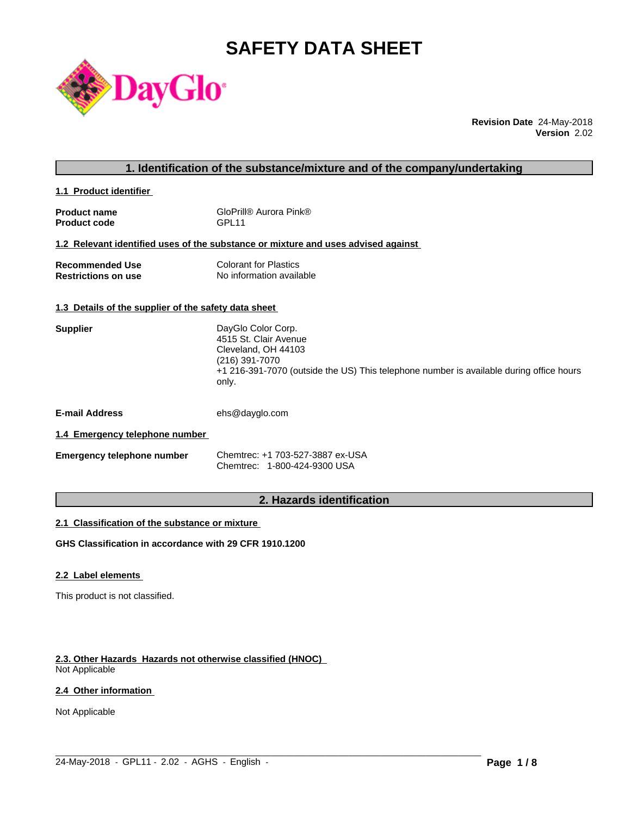# **SAFETY DATA SHEET**



**Revision Date** 24-May-2018 **Version** 2.02

## **1. Identification of the substance/mixture and of the company/undertaking**

**1.1 Product identifier** 

| <b>Product name</b> | GloPrill® Aurora Pink® |
|---------------------|------------------------|
| <b>Product code</b> | GPL <sub>11</sub>      |

## **1.2 Relevant identified uses of the substance or mixture and uses advised against**

| <b>Recommended Use</b>     | <b>Colorant for Plastics</b> |
|----------------------------|------------------------------|
| <b>Restrictions on use</b> | No information available     |

### **1.3 Details of the supplier of the safety data sheet**

| <b>Supplier</b> | DayGlo Color Corp.                                                                      |
|-----------------|-----------------------------------------------------------------------------------------|
|                 | 4515 St. Clair Avenue                                                                   |
|                 | Cleveland, OH 44103                                                                     |
|                 | (216) 391-7070                                                                          |
|                 | +1 216-391-7070 (outside the US) This telephone number is available during office hours |
|                 | only.                                                                                   |
|                 |                                                                                         |

**E-mail Address** ehs@dayglo.com

## **1.4 Emergency telephone number**

| <b>Emergency telephone number</b> | Chemtrec: +1 703-527-3887 ex-USA |
|-----------------------------------|----------------------------------|
|                                   | Chemtrec: 1-800-424-9300 USA     |

## **2. Hazards identification**

 $\_$  ,  $\_$  ,  $\_$  ,  $\_$  ,  $\_$  ,  $\_$  ,  $\_$  ,  $\_$  ,  $\_$  ,  $\_$  ,  $\_$  ,  $\_$  ,  $\_$  ,  $\_$  ,  $\_$  ,  $\_$  ,  $\_$  ,  $\_$  ,  $\_$  ,  $\_$  ,  $\_$  ,  $\_$  ,  $\_$  ,  $\_$  ,  $\_$  ,  $\_$  ,  $\_$  ,  $\_$  ,  $\_$  ,  $\_$  ,  $\_$  ,  $\_$  ,  $\_$  ,  $\_$  ,  $\_$  ,  $\_$  ,  $\_$  ,

## **2.1 Classification of the substance or mixture**

**GHS Classification in accordance with 29 CFR 1910.1200**

## **2.2 Label elements**

This product is not classified.

## **2.3. Other Hazards Hazards not otherwise classified (HNOC)**

Not Applicable

## **2.4 Other information**

Not Applicable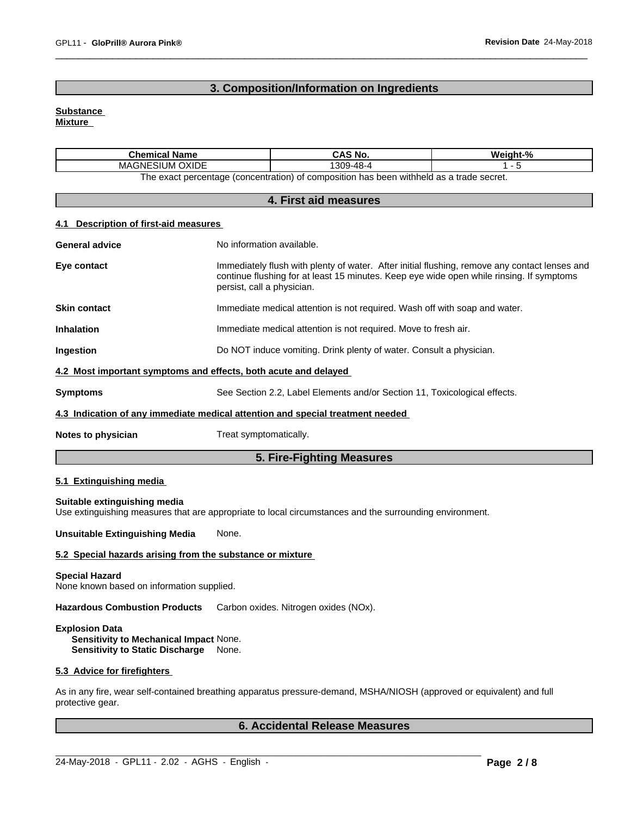## **3. Composition/Information on Ingredients**

## **Substance**

**Mixture**

| <b>Chemical Name</b>                                                                                       | CAS No.   | Weight-% |  |  |
|------------------------------------------------------------------------------------------------------------|-----------|----------|--|--|
| <b>OXIDE</b><br>ESIUM (<br>MAGNE:                                                                          | 1309-48-4 |          |  |  |
| $\lambda$ n has been withheld as a trade secret.<br>The exact percentage (concentration) of composition is |           |          |  |  |

|                                       | 4. First aid measures                                                                                                                                                                                                   |
|---------------------------------------|-------------------------------------------------------------------------------------------------------------------------------------------------------------------------------------------------------------------------|
| 4.1 Description of first-aid measures |                                                                                                                                                                                                                         |
| <b>General advice</b>                 | No information available.                                                                                                                                                                                               |
| Eye contact                           | Immediately flush with plenty of water. After initial flushing, remove any contact lenses and<br>continue flushing for at least 15 minutes. Keep eye wide open while rinsing. If symptoms<br>persist, call a physician. |
| <b>Skin contact</b>                   | Immediate medical attention is not required. Wash off with soap and water.                                                                                                                                              |
| <b>Inhalation</b>                     | Immediate medical attention is not required. Move to fresh air.                                                                                                                                                         |
| Ingestion                             | Do NOT induce vomiting. Drink plenty of water. Consult a physician.                                                                                                                                                     |
|                                       | 4.2 Most important symptoms and effects, both acute and delayed                                                                                                                                                         |
| <b>Symptoms</b>                       | See Section 2.2, Label Elements and/or Section 11, Toxicological effects.                                                                                                                                               |
|                                       | 4.3 Indication of any immediate medical attention and special treatment needed                                                                                                                                          |
| Notes to physician                    | Treat symptomatically.                                                                                                                                                                                                  |
|                                       | 5. Fire-Fighting Measures                                                                                                                                                                                               |

## **5.1 Extinguishing media**

**Suitable extinguishing media** Use extinguishing measures that are appropriate to local circumstances and the surrounding environment.

**Unsuitable Extinguishing Media** None.

## **5.2 Special hazards arising from the substance or mixture**

#### **Special Hazard**

None known based on information supplied.

**Hazardous Combustion Products** Carbon oxides. Nitrogen oxides (NOx).

## **Explosion Data**

**Sensitivity to Mechanical Impact** None. **Sensitivity to Static Discharge** None.

## **5.3 Advice for firefighters**

As in any fire, wear self-contained breathing apparatus pressure-demand, MSHA/NIOSH (approved or equivalent) and full protective gear.

 $\_$  ,  $\_$  ,  $\_$  ,  $\_$  ,  $\_$  ,  $\_$  ,  $\_$  ,  $\_$  ,  $\_$  ,  $\_$  ,  $\_$  ,  $\_$  ,  $\_$  ,  $\_$  ,  $\_$  ,  $\_$  ,  $\_$  ,  $\_$  ,  $\_$  ,  $\_$  ,  $\_$  ,  $\_$  ,  $\_$  ,  $\_$  ,  $\_$  ,  $\_$  ,  $\_$  ,  $\_$  ,  $\_$  ,  $\_$  ,  $\_$  ,  $\_$  ,  $\_$  ,  $\_$  ,  $\_$  ,  $\_$  ,  $\_$  ,

## **6. Accidental Release Measures**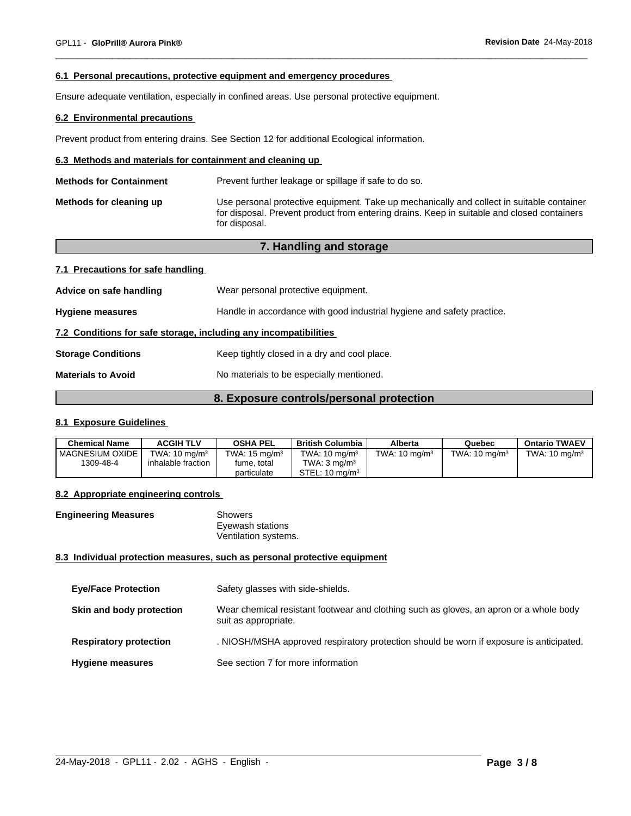## **6.1 Personal precautions, protective equipment and emergency procedures**

Ensure adequate ventilation, especially in confined areas. Use personal protective equipment.

## **6.2 Environmental precautions**

Prevent product from entering drains. See Section 12 for additional Ecological information.

## **6.3 Methods and materials for containment and cleaning up**

| <b>Methods for Containment</b> | Prevent further leakage or spillage if safe to do so.                                                                                                                                                    |
|--------------------------------|----------------------------------------------------------------------------------------------------------------------------------------------------------------------------------------------------------|
| Methods for cleaning up        | Use personal protective equipment. Take up mechanically and collect in suitable container<br>for disposal. Prevent product from entering drains. Keep in suitable and closed containers<br>for disposal. |

## **7. Handling and storage**

### **7.1 Precautions for safe handling**

| Wear personal protective equipment.                                    |  |
|------------------------------------------------------------------------|--|
| Handle in accordance with good industrial hygiene and safety practice. |  |
| 7.2 Conditions for safe storage, including any incompatibilities       |  |
| Keep tightly closed in a dry and cool place.                           |  |
| No materials to be especially mentioned.                               |  |
|                                                                        |  |

## **8. Exposure controls/personal protection**

## **8.1 Exposure Guidelines**

| <b>Chemical Name</b> | <b>ACGIH TLV</b>         | <b>OSHA PEL</b>          | <b>British Columbia</b>   | Alberta                  | Quebec                   | <b>Ontario TWAEV</b>     |
|----------------------|--------------------------|--------------------------|---------------------------|--------------------------|--------------------------|--------------------------|
| I MAGNESIUM OXIDE    | TWA: $10 \text{ ma/m}^3$ | TWA: $15 \text{ ma/m}^3$ | TWA: $10 \text{ mg/m}^3$  | TWA: $10 \text{ ma/m}^3$ | TWA: $10 \text{ ma/m}^3$ | TWA: $10 \text{ ma/m}^3$ |
| 1309-48-4            | inhalable fraction       | fume, total              | TWA: 3 ma/m <sup>3</sup>  |                          |                          |                          |
|                      |                          | particulate              | STEL: $10 \text{ ma/m}^3$ |                          |                          |                          |

## **8.2 Appropriate engineering controls**

| <b>Engineering Measures</b> | Showers              |  |
|-----------------------------|----------------------|--|
|                             | Eyewash stations     |  |
|                             | Ventilation systems. |  |

#### **8.3 Individual protection measures, such as personal protective equipment**

| <b>Eye/Face Protection</b>    | Safety glasses with side-shields.                                                                              |
|-------------------------------|----------------------------------------------------------------------------------------------------------------|
| Skin and body protection      | Wear chemical resistant footwear and clothing such as gloves, an apron or a whole body<br>suit as appropriate. |
| <b>Respiratory protection</b> | . NIOSH/MSHA approved respiratory protection should be worn if exposure is anticipated.                        |
| <b>Hygiene measures</b>       | See section 7 for more information                                                                             |

 $\_$  ,  $\_$  ,  $\_$  ,  $\_$  ,  $\_$  ,  $\_$  ,  $\_$  ,  $\_$  ,  $\_$  ,  $\_$  ,  $\_$  ,  $\_$  ,  $\_$  ,  $\_$  ,  $\_$  ,  $\_$  ,  $\_$  ,  $\_$  ,  $\_$  ,  $\_$  ,  $\_$  ,  $\_$  ,  $\_$  ,  $\_$  ,  $\_$  ,  $\_$  ,  $\_$  ,  $\_$  ,  $\_$  ,  $\_$  ,  $\_$  ,  $\_$  ,  $\_$  ,  $\_$  ,  $\_$  ,  $\_$  ,  $\_$  ,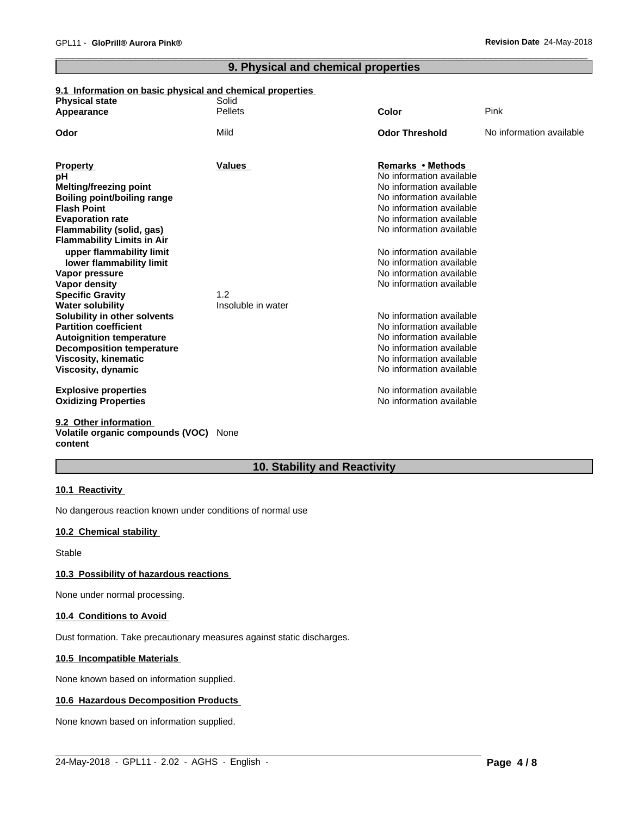## **9. Physical and chemical properties**

## **9.1 Information on basic physical and chemical properties**

| <b>Physical state</b>                                        | Solid              |                                               |                          |
|--------------------------------------------------------------|--------------------|-----------------------------------------------|--------------------------|
| Appearance                                                   | <b>Pellets</b>     | Color                                         | Pink                     |
| Odor                                                         | Mild               | <b>Odor Threshold</b>                         | No information available |
|                                                              |                    |                                               |                          |
| <b>Property</b>                                              | <b>Values</b>      | Remarks • Methods<br>No information available |                          |
| рH                                                           |                    | No information available                      |                          |
| <b>Melting/freezing point</b><br>Boiling point/boiling range |                    | No information available                      |                          |
| <b>Flash Point</b>                                           |                    | No information available                      |                          |
| <b>Evaporation rate</b>                                      |                    | No information available                      |                          |
| Flammability (solid, gas)                                    |                    | No information available                      |                          |
| <b>Flammability Limits in Air</b>                            |                    |                                               |                          |
| upper flammability limit                                     |                    | No information available                      |                          |
| lower flammability limit                                     |                    | No information available                      |                          |
| Vapor pressure                                               |                    | No information available                      |                          |
| Vapor density                                                |                    | No information available                      |                          |
| <b>Specific Gravity</b>                                      | 1.2                |                                               |                          |
| <b>Water solubility</b>                                      | Insoluble in water |                                               |                          |
| Solubility in other solvents                                 |                    | No information available                      |                          |
| <b>Partition coefficient</b>                                 |                    | No information available                      |                          |
| <b>Autoignition temperature</b>                              |                    | No information available                      |                          |
| <b>Decomposition temperature</b>                             |                    | No information available                      |                          |
| <b>Viscosity, kinematic</b>                                  |                    | No information available                      |                          |
| Viscosity, dynamic                                           |                    | No information available                      |                          |
| <b>Explosive properties</b>                                  |                    | No information available                      |                          |
| <b>Oxidizing Properties</b>                                  |                    | No information available                      |                          |
| 9.2 Other information                                        |                    |                                               |                          |

## **Volatile organic compounds (VOC)** None **content**

## **10. Stability and Reactivity**

 $\_$  ,  $\_$  ,  $\_$  ,  $\_$  ,  $\_$  ,  $\_$  ,  $\_$  ,  $\_$  ,  $\_$  ,  $\_$  ,  $\_$  ,  $\_$  ,  $\_$  ,  $\_$  ,  $\_$  ,  $\_$  ,  $\_$  ,  $\_$  ,  $\_$  ,  $\_$  ,  $\_$  ,  $\_$  ,  $\_$  ,  $\_$  ,  $\_$  ,  $\_$  ,  $\_$  ,  $\_$  ,  $\_$  ,  $\_$  ,  $\_$  ,  $\_$  ,  $\_$  ,  $\_$  ,  $\_$  ,  $\_$  ,  $\_$  ,

## **10.1 Reactivity**

No dangerous reaction known under conditions of normal use

## **10.2 Chemical stability**

Stable

## **10.3 Possibility of hazardous reactions**

None under normal processing.

## **10.4 Conditions to Avoid**

Dust formation. Take precautionary measures against static discharges.

## **10.5 Incompatible Materials**

None known based on information supplied.

## **10.6 Hazardous Decomposition Products**

None known based on information supplied.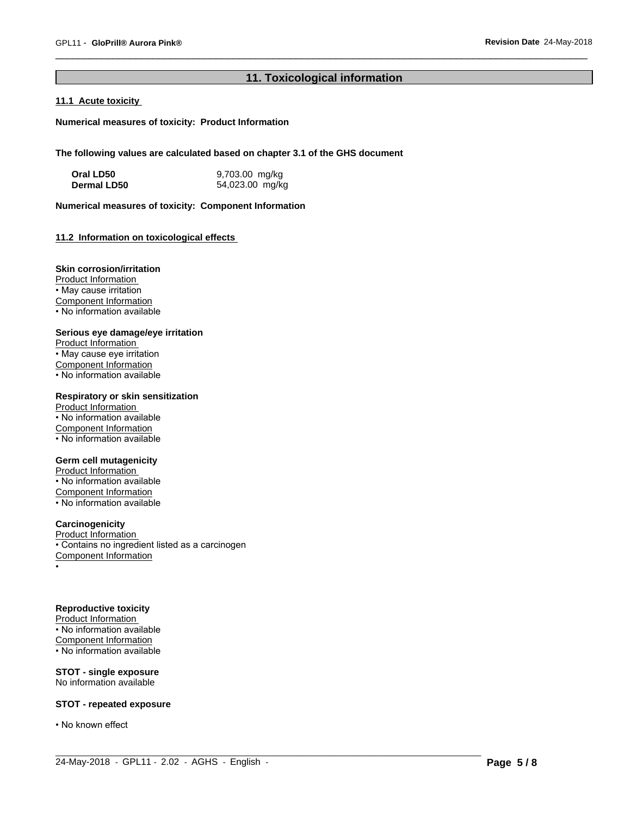## **11. Toxicological information**

 $\_$  ,  $\_$  ,  $\_$  ,  $\_$  ,  $\_$  ,  $\_$  ,  $\_$  ,  $\_$  ,  $\_$  ,  $\_$  ,  $\_$  ,  $\_$  ,  $\_$  ,  $\_$  ,  $\_$  ,  $\_$  ,  $\_$  ,  $\_$  ,  $\_$  ,  $\_$  ,  $\_$  ,  $\_$  ,  $\_$  ,  $\_$  ,  $\_$  ,  $\_$  ,  $\_$  ,  $\_$  ,  $\_$  ,  $\_$  ,  $\_$  ,  $\_$  ,  $\_$  ,  $\_$  ,  $\_$  ,  $\_$  ,  $\_$  ,

## **11.1 Acute toxicity**

**Numerical measures of toxicity: Product Information**

**The following values are calculated based on chapter 3.1 of the GHS document**

| Oral LD50   | 9,703.00 mg/kg  |
|-------------|-----------------|
| Dermal LD50 | 54,023.00 mg/kg |

**Numerical measures of toxicity: Component Information**

## **11.2 Information on toxicologicaleffects**

## **Skin corrosion/irritation**

Product Information • May cause irritation Component Information • No information available

### **Serious eye damage/eye irritation**

Product Information • May cause eye irritation Component Information • No information available

## **Respiratory or skin sensitization**

Product Information • No information available Component Information  $\overline{\cdot}$  No information available

## **Germ cell mutagenicity**

Product Information • No information available Component Information • No information available

## **Carcinogenicity**

Product Information • Contains no ingredient listed as a carcinogen Component Information •

## **Reproductive toxicity**

Product Information • No information available Component Information • No information available

### **STOT - single exposure** No information available

## **STOT - repeated exposure**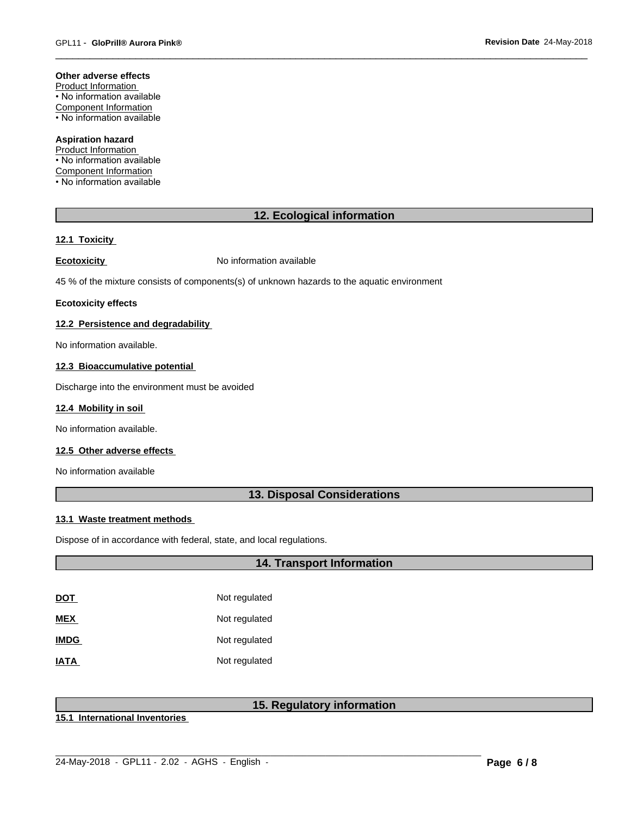#### **Other adverse effects**

Product Information • No information available Component Information • No information available

## **Aspiration hazard**

Product Information • No information available Component Information • No information available

## **12. Ecological information**

### **12.1 Toxicity**

**Ecotoxicity No information available** 

45 % of the mixture consists of components(s) of unknown hazards to the aquatic environment

#### **Ecotoxicity effects**

## **12.2 Persistence and degradability**

No information available.

#### **12.3 Bioaccumulative potential**

Discharge into the environment must be avoided

## **12.4 Mobility in soil**

No information available.

## **12.5 Other adverse effects**

No information available

## **13. Disposal Considerations**

#### **13.1 Waste treatment methods**

Dispose of in accordance with federal, state, and local regulations.

## **14. Transport Information**

| DOT         | Not regulated |
|-------------|---------------|
| MEX         | Not regulated |
| <b>IMDG</b> | Not regulated |
| IATA        | Not regulated |

## **15. Regulatory information**

 $\_$  ,  $\_$  ,  $\_$  ,  $\_$  ,  $\_$  ,  $\_$  ,  $\_$  ,  $\_$  ,  $\_$  ,  $\_$  ,  $\_$  ,  $\_$  ,  $\_$  ,  $\_$  ,  $\_$  ,  $\_$  ,  $\_$  ,  $\_$  ,  $\_$  ,  $\_$  ,  $\_$  ,  $\_$  ,  $\_$  ,  $\_$  ,  $\_$  ,  $\_$  ,  $\_$  ,  $\_$  ,  $\_$  ,  $\_$  ,  $\_$  ,  $\_$  ,  $\_$  ,  $\_$  ,  $\_$  ,  $\_$  ,  $\_$  ,

**15.1 International Inventories**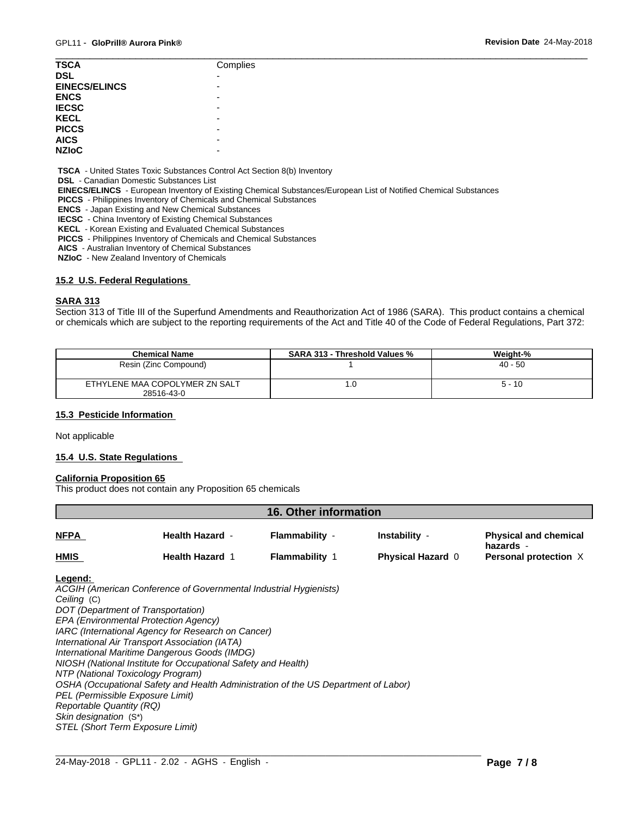| <b>TSCA</b>          | Complies                 |
|----------------------|--------------------------|
| <b>DSL</b>           | $\overline{\phantom{0}}$ |
| <b>EINECS/ELINCS</b> | $\overline{\phantom{0}}$ |
| <b>ENCS</b>          |                          |
| <b>IECSC</b>         | -                        |
| <b>KECL</b>          | -                        |
| <b>PICCS</b>         |                          |
| <b>AICS</b>          |                          |
| <b>NZIOC</b>         |                          |
|                      |                          |

 **TSCA** - United States Toxic Substances Control Act Section 8(b) Inventory

 **DSL** - Canadian Domestic Substances List

 **EINECS/ELINCS** - European Inventory of Existing Chemical Substances/European List of Notified Chemical Substances

 **PICCS** - Philippines Inventory of Chemicals and Chemical Substances

 **ENCS** - Japan Existing and New Chemical Substances

 **IECSC** - China Inventory of Existing Chemical Substances

 **KECL** - Korean Existing and Evaluated Chemical Substances

 **PICCS** - Philippines Inventory of Chemicals and Chemical Substances

 **AICS** - Australian Inventory of Chemical Substances

 **NZIoC** - New Zealand Inventory of Chemicals

### **15.2 U.S. Federal Regulations**

### **SARA 313**

Section 313 of Title III of the Superfund Amendments and Reauthorization Act of 1986 (SARA). This product contains a chemical or chemicals which are subject to the reporting requirements of the Act and Title 40 of the Code of Federal Regulations, Part 372:

| <b>Chemical Name</b>                         | <b>SARA 313 - Threshold Values %</b> | Weight-%  |
|----------------------------------------------|--------------------------------------|-----------|
| Resin (Zinc Compound)                        |                                      | $40 - 50$ |
| ETHYLENE MAA COPOLYMER ZN SALT<br>28516-43-0 | . . U                                | $5 - 10$  |

## **15.3 Pesticide Information**

Not applicable

## **15.4 U.S. State Regulations**

#### **California Proposition 65**

This product does not contain any Proposition 65 chemicals

| 16. Other information |                        |                       |                          |                                    |  |
|-----------------------|------------------------|-----------------------|--------------------------|------------------------------------|--|
| <b>NFPA</b>           | <b>Health Hazard -</b> | Flammability -        | <b>Instability</b>       | <b>Physical and chemical</b>       |  |
| <b>HMIS</b>           | <b>Health Hazard 1</b> | <b>Flammability 1</b> | <b>Physical Hazard 0</b> | hazards -<br>Personal protection X |  |

 $\_$  ,  $\_$  ,  $\_$  ,  $\_$  ,  $\_$  ,  $\_$  ,  $\_$  ,  $\_$  ,  $\_$  ,  $\_$  ,  $\_$  ,  $\_$  ,  $\_$  ,  $\_$  ,  $\_$  ,  $\_$  ,  $\_$  ,  $\_$  ,  $\_$  ,  $\_$  ,  $\_$  ,  $\_$  ,  $\_$  ,  $\_$  ,  $\_$  ,  $\_$  ,  $\_$  ,  $\_$  ,  $\_$  ,  $\_$  ,  $\_$  ,  $\_$  ,  $\_$  ,  $\_$  ,  $\_$  ,  $\_$  ,  $\_$  ,

#### **Legend:**

*ACGIH (American Conference of Governmental Industrial Hygienists) Ceiling* (C) *DOT (Department of Transportation) EPA (Environmental Protection Agency) IARC (International Agency for Research on Cancer) International Air Transport Association (IATA) International Maritime Dangerous Goods (IMDG) NIOSH (National Institute for Occupational Safety and Health) NTP (National Toxicology Program) OSHA (Occupational Safety and Health Administration of the US Department of Labor) PEL (Permissible Exposure Limit) Reportable Quantity (RQ) Skin designation* (S\*) *STEL (Short Term Exposure Limit)*